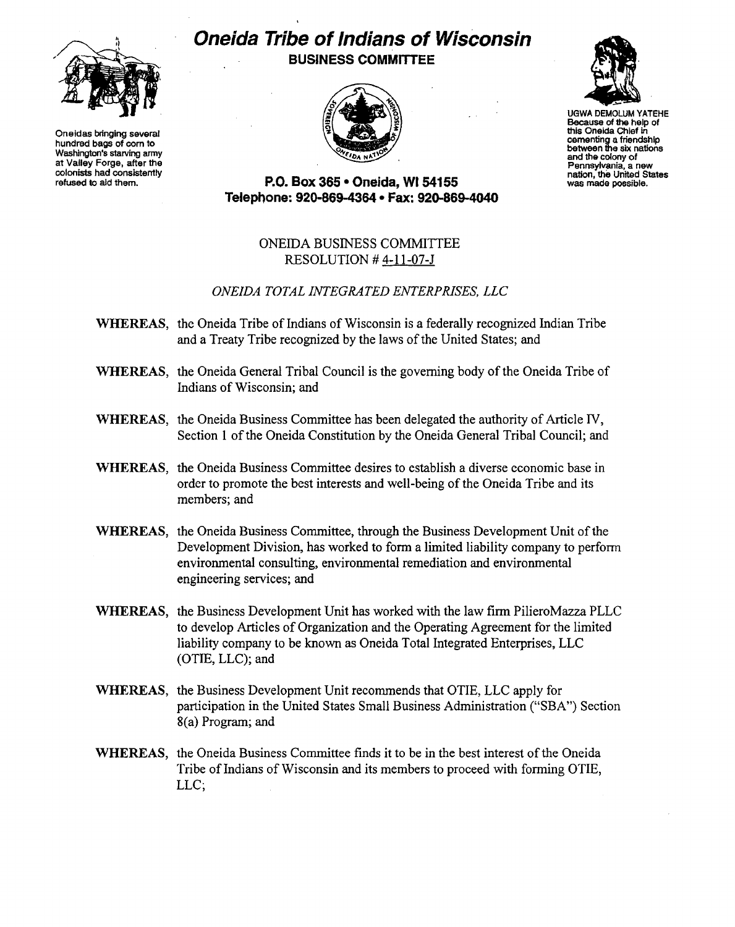

Oneidas bringing several hundred bags of com to Washington's starving army at Valley Forge, after the colonists had consistemly refused to ald them.

## *Oneida Tribe of Indians of Wisconsin* **BUSINESS COMMITTEE**





UGWA DEMOLUM YATEHE Because of the help of this Oneida Chief in cementing a friendship between the six nations and the colony of Pennsylvania, a new nation, the United States was made possible.

**P.O. Box 365· Oneida,** WI 54155 **Telepnone: 920-869-4364 • Fax: 920-869-4040**

## ONEIDA BUSINESS COMMITTEE RESOLUTION # 4-11-07-J

## *ONEIDA TOTAL INTEGRATED ENTERPRISES, LLC*

- WHEREAS, the Oneida Tribe of Indians of Wisconsin is a federally recognized Indian Tribe and a Treaty Tribe recognized by the laws of the United States; and
- WHEREAS, the Oneida General Tribal Council is the governing body of the Oneida Tribe of Indians of Wisconsin; and
- WHEREAS, the Oneida Business Committee has been delegated the authority of Article IV, Section 1 of the Oneida Constitution by the Oneida General Tribal Council; and
- WHEREAS, the Oneida Business Committee desires to establish a diverse economic base in order to promote the best interests and well-being of the Oneida Tribe and its members; and
- WHEREAS, the Oneida Business Committee, through the Business Development Unit of the Development Division, has worked to form a limited liability company to perform environmental consulting, environmental remediation and environmental engineering services; and
- WHEREAS, the Business Development Unit has worked with the law firm PilieroMazza PLLC to develop Articles of Organization and the Operating Agreement for the limited liability company to be known as Oneida Total Integrated Enterprises, LLC (OTIE, LLC); and
- WHEREAS, the Business Development Unit recommends that OTIE, LLC apply for participation in the United States Small Business Administration ("SBA") Section 8(a) Program; and
- WHEREAS, the Oneida Business Committee finds it to be in the best interest of the Oneida Tribe of Indians of Wisconsin and its members to proceed with forming OTIE, LLC;